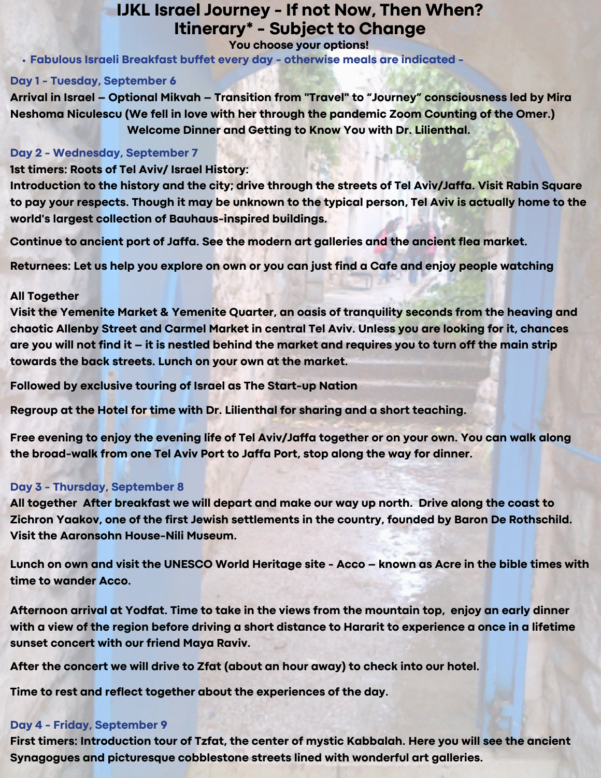# **IJKL Israel Journey - If not Now, Then When? Itinerary\* - Subject to Change**

#### **You choose your options!**

**Fabulous Israeli Breakfast buffet every day - otherwise meals are indicated -**

### **Day 1 - Tuesday, September 6**

**Arrival in Israel – Optional Mikvah – Transition from "Travel" to "Journey" consciousness led by Mira Neshoma Niculescu (We fell in love with her through the pandemic Zoom Counting of the Omer.) Welcome Dinner and Getting to Know You with Dr. Lilienthal.**

### **Day 2 - Wednesday, September 7**

### **1st timers: Roots of Tel Aviv/ Israel History:**

**Introduction to the history and the city; drive through the streets of Tel Aviv/Jaffa. Visit Rabin Square** to pay your respects. Though it may be unknown to the typical person, Tel Aviv is actually home to the **world's largest collection of Bauhaus-inspired buildings.**

**Continue to ancient port of Jaffa. See the modern art galleries and the ancient flea market.**

Returnees: Let us help you explore on own or you can just find a Cafe and enjoy people watching

### **All Together**

**Visit the Yemenite Market & Yemenite Quarter, an oasis of tranquility seconds from the heaving and chaotic Allenby Street and Carmel Market in central Tel Aviv. Unless you are looking for it, chances** are you will not find it – it is nestled behind the market and requires you to turn off the main strip **towards the back streets. Lunch on your own at the market.**

**Followed by exclusive touring of Israel as The Start-up Nation**

**Regroup at the Hotel for time with Dr. Lilienthal for sharing and a short teaching.**

Free evening to enjoy the evening life of Tel Aviv/Jaffa together or on your own. You can walk along **the broad-walk from one Tel Aviv Port to Jaffa Port, stop along the way for dinner.**

## **Day 3 - Thursday, September 8**

**All together After breakfast we will depart and make our way up north. Drive along the coast to Zichron Yaakov, one of the first Jewish settlements in the country, founded by Baron De Rothschild. Visit the Aaronsohn House-Nili Museum.**

Lunch on own and visit the UNESCO World Heritage site - Acco – known as Acre in the bible times with **time to wander Acco.**

Afternoon arrival at Yodfat. Time to take in the views from the mountain top, enjoy an early dinner with a view of the region before driving a short distance to Hararit to experience a once in a lifetime **sunset concert with our friend Maya Raviv.**

**After the concert we will drive to Zfat (about an hour away) to check into our hotel.**

**Time to rest and reflect together about the experiences of the day.**

## **Day 4 - Friday, September 9**

**First timers: Introduction tour of Tzfat, the center of mystic Kabbalah. Here you will see the ancient Synagogues and picturesque cobblestone streets lined with wonderful art galleries.**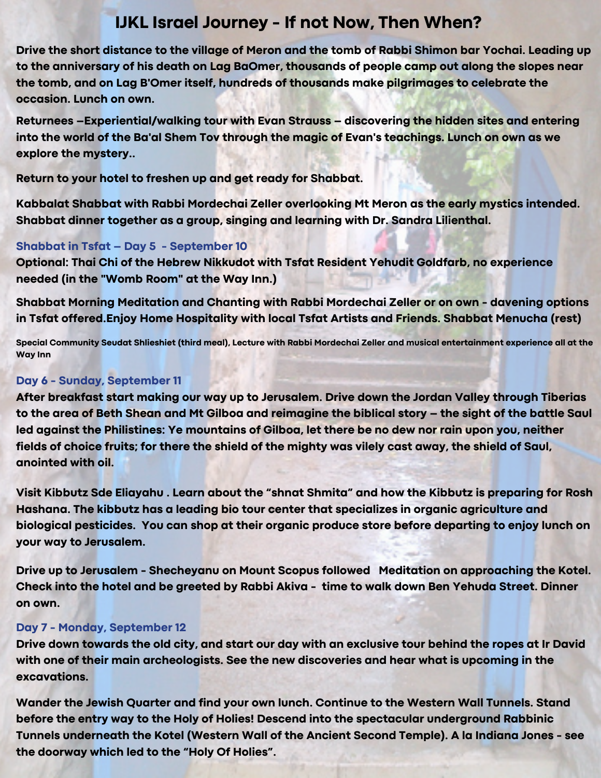# **IJKL Israel Journey - If not Now, Then When?**

**Drive the short distance to the village of [Meron](https://en.wikipedia.org/wiki/Meron_(village)) and the [tomb of Rabbi Shimon bar Yochai](https://en.wikipedia.org/wiki/Tomb_of_Rabbi_Shimon_bar_Yochai). Leading up to the anniversary of his death on [Lag BaOmer](https://en.wikipedia.org/wiki/Lag_BaOmer), thousands of people camp out along the slopes near [the tomb, and on Lag B'Omer itself, hundreds of thousands make pilgrimages to celebrate the](https://en.wikipedia.org/wiki/Hillula_of_Rabbi_Shimon_bar_Yochai) occasion. Lunch on own.**

**Returnees –Experiential/walking tour with Evan Strauss – discovering the hidden sites and entering into the world of the Ba'al Shem Tov through the magic of Evan's teachings. Lunch on own as we explore the mystery..**

**Return to your hotel to freshen up and get ready for Shabbat.**

**Kabbalat Shabbat with Rabbi Mordechai Zeller overlooking Mt Meron as the early mystics intended. Shabbat dinner together as a group, singing and learning with Dr. Sandra Lilienthal.**

## **Shabbat in Tsfat – Day 5 - September 10**

**Optional: Thai Chi of the Hebrew Nikkudot with Tsfat Resident Yehudit Goldfarb, no experience needed (in the "Womb Room" at the Way Inn.)**

**Shabbat Morning Meditation and Chanting with Rabbi Mordechai Zeller or on own - davening options in Tsfat offered.Enjoy Home Hospitality with local Tsfat Artists and Friends. Shabbat Menucha (rest)**

**Special Community Seudat Shlieshiet (third meal), Lecture with Rabbi Mordechai Zeller and musical entertainment experience all at the Way Inn**

## **Day 6 - Sunday, September 11**

**After breakfast start making our way up to Jerusalem. Drive down the Jordan Valley through Tiberias to the area of Beth Shean and Mt Gilboa and reimagine the biblical story – the sight of the battle Saul led against the Philistines: Ye mountains of Gilboa, let there be no dew nor rain upon you, neither fields of choice fruits; for there the shield of the mighty was vilely cast away, the shield of Saul, anointed with oil.**

**Visit Kibbutz Sde Eliayahu . Learn about the "shnat Shmita" and how the Kibbutz is preparing for Rosh Hashana. The kibbutz has a leading bio tour center that specializes in organic agriculture and biological pesticides. You can shop at their organic produce store before departing to enjoy lunch on your way to Jerusalem.**

**Drive up to Jerusalem - Shecheyanu on Mount Scopus followed Meditation on approaching the Kotel. Check into the hotel and be greeted by Rabbi Akiva - time to walk down Ben Yehuda Street. Dinner on own.**

## **Day 7 - Monday, September 12**

**Drive down towards the old city, and start our day with an exclusive tour behind the ropes at Ir David with one of their main archeologists. See the new discoveries and hear what is upcoming in the excavations.**

**Wander the Jewish Quarter and find your own lunch. Continue to the Western Wall Tunnels. Stand before the entry way to the Holy of Holies! Descend into the spectacular underground Rabbinic Tunnels underneath the Kotel (Western Wall of the Ancient Second Temple). A la Indiana Jones - see the doorway which led to the "Holy Of Holies".**